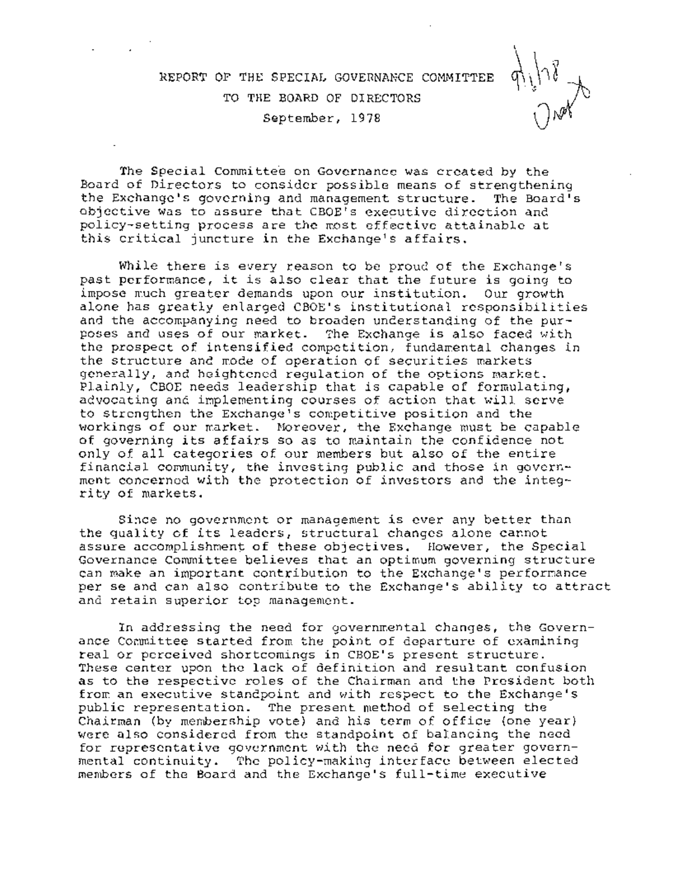# REPORT OF THE SPECIAL GOVERNANCE COMMITTEE TO THE BOARD OF DIRECTORS September, 1978

The Special Committee on Governance was created by the Board of Directors to consider possible means of strengthening the Exchange's governing and management structure. The Board's objective was to assure that CBOE's executive direction and policy-setting process are the most effective attainable at this critical juncture in the Exchange's affairs.

While there is every reason to be proud of the Exchange's past performance, it is also clear that the future is going to impose much greater demands upon our institution. Our growth alone has greatly enlarged CBOE's institutional responsibilities and the accompanying need to broaden understanding of the purposes and uses of our market. The Exchange is also faced with the prospect of intensified competition, fundamental changes in the structure and mode of operation of securities markets generally, and heightened regulation of the options market. Plainly, CBOE needs leadership that is capable of formulating, advocating and implementing courses of action that will serve to strengthen the Exchange's competitive position and the workings of our market. Moreover, the Exchange must be capable of governing its affairs so as to maintain the confidence not only of all categories of Our members but also of the entire financial community, the investing public and those in government concerned with the protection of investors and the integrity of markets.

Since no government or management is ever any better than the quality of its leaders, structural changes alone cannot assure accomplishment of these objectives. However, the Special Governance Committee believes that an optimum governing structure can make an important contribution to the Exchange's performance per se and can also contribute to the Exchange's ability to attract and retain superior top management.

In addressing the need for governmental changes, the Governance Committee started from the point of departure of examining real or perceived shortcomings in CBOE's present structure. These center upon the lack of definition and resultant confusion as to the respective roles of the Chairman and the President both from an executive standpoint and with respect to the Exchange's public representation. The present method of selecting the Chairman (by membership vote) and his term of office (one year) were also considered from the standpoint of balancing the need for representative government with the need for greater governmental continuity. The policy-making interface between elected menders of the Board and the Exchange's full-time executive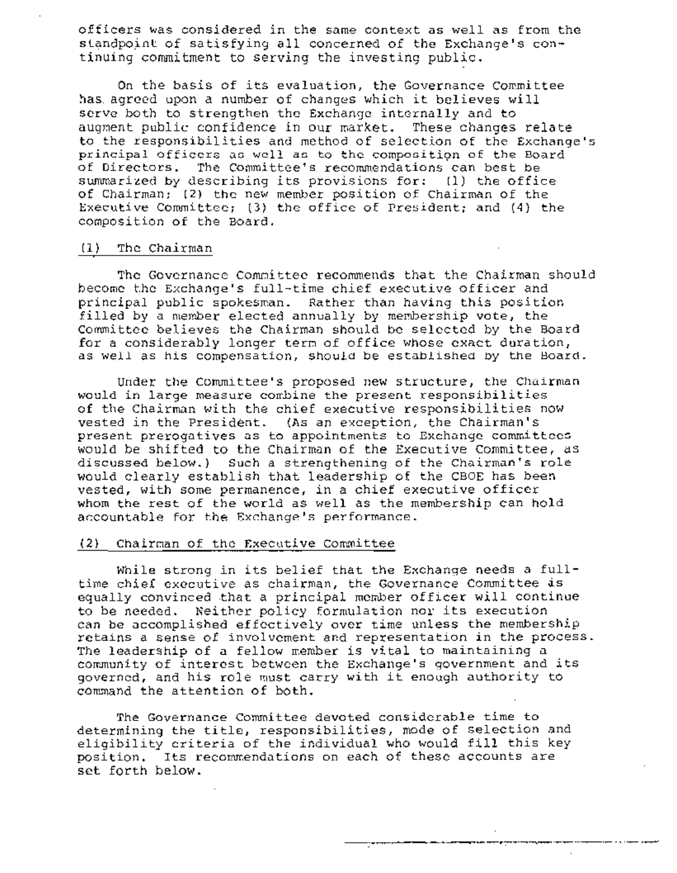officers was considered in the same context as well as from the standpoint of satisfying all concerned of the Exchange's continuing commitment to serving the investing public.

On the basis of its evaluation, the Governance Committee has. agreed upon a number of changes which it believes will serve both to strengthen the Exchange internally and to augment public confidence in our market. These changes relate to the responsibilities and method of selection of the Exchange's principal officers as well as to the composition of the Board of Directors. The Committee's recommendations can best be summarized by describing its provisions for: (i) the office of Chairman; (2) the new member position of Chairman of the Executive Committee; (3) the office of President; and (4) the composition of the Board.

## (i) The Chairman

The Governance Committee recommends that the Chairman should become the Exchange's full-time chief executive officer and principal public spokesman. Rather than having this position filled by a member elected annually by membership vote, the Committee believes the Chairman should be selected by the Board for a considerably longer term of office whose exact duration, as well as his compensation, should be established by the Board.

Under the Committee's proposed new structure, the Chairman would in large measure combine the present responsibilities of the Chairman with the chief executive responsibilities now vested in the President. (As an exception, the Chairman's present prerogatives as to appointments to Exchange committees would be shifted to the Chairman of the Executive Committee, as discussed below.) Such a strengthening of the Chairman's role would clearly establish that leadership of the CBOE has been vested, with some permanence, in a chief executive officer whom the rest of the world as well as the membership can hold accountable for the Exchange's performance.

#### (2) chairman of the ExecutiVe Committee

While strong in its belief that the Exchange needs a fulltime chief executive as chairman, the Governance Committee is equally convinced that a principal member officer will continue to be needed. Neither policy formulation nor its execution can be accomplished effectively over time unless the membership retains a sense of involvement and representation in the process. The leadership of a fellow member is vital to maintaining a community of interest between the Exchange's government and its governed, and his role must carry with it enough authority to command the attention of both.

The Governance Committee devoted considerable time to determining the title, responsibilities, mode of selection and eligibility criteria of the individual who would fill this key position. Its recommendations on each of these accounts are set forth below.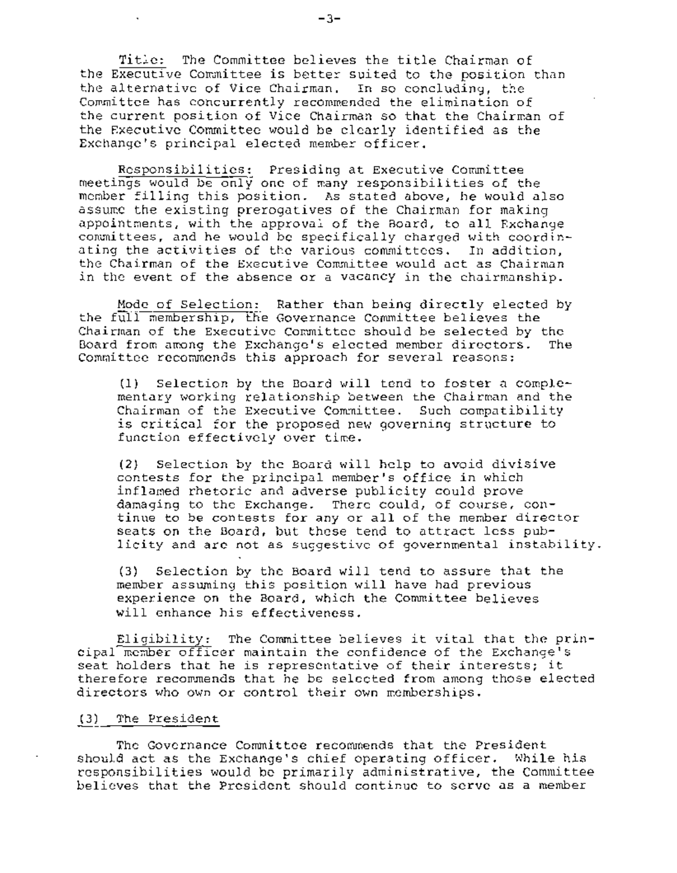Title: The Committee believes the title Chairman of the Executive Committee is better suited to the position than the alternative of Vice Chairman. In so concluding, the Committee has concurrently recommended the elimination of the current position of Vice Chairman so that the Chairman of the Executive Committee would be clearly identified as the Exchange's principal elected member officer.

Responsibilities: Presiding at Executive Committee meetings would be only one of many responsibilities of the member filling this position. As stated above, he would also assume the existing prerogatives of the Chairman for making appointments, with the approval of the Board, to all Exchange committees, and he would be specifically charged with coordinating the activities of the various committees. In addition, the Chairman of the Executive Committee would act as Chairman in the event of the absence or a vacancy in the chairmanship.

Mode of Selection: Rather thanbeing directly elected by the full membership, the Governance Committee believes the Chairman of the Executive Committee should be selected by the Board from among the Exchange's elected member directors. The Committee recommends this approach for several reasons:

(1) Selection by the Board will tend to foster a complementary working relationship between the Chairman and the Chairman of the Executive Committee. Such compatibility is critical for the proposed new governing structure to function effectively over time.

(2) Selection by the Board will help to avoid divisive contests for the principal member's office in which inflamed rhetoric and adverse publicity could prove damaging to the Exchange. There could, of course, continue to be contests for any or all of the member director seats on the Board, but these tend to attract less publicity and are not as suggestive of governmental instability.

(3) Selection by the Board will tend to assure that the member assuming this position will have had previous experience on the Board, which the Committee believes will enhance his effectiveness.

Eligibility: The Committee believes it Vital that the principal member officer maintain the confidence of the Exchange's seat holders that he is representative of their interests; it therefore recommends that he be selected from among those elected directors who own or control their own memberships.

## (3) The President

The Governance Committee recommends that the President should act as the Exchange's chief operating officer. While his responsibilities would be primarily administrative, the Committee believes that the President should continue to serve as a member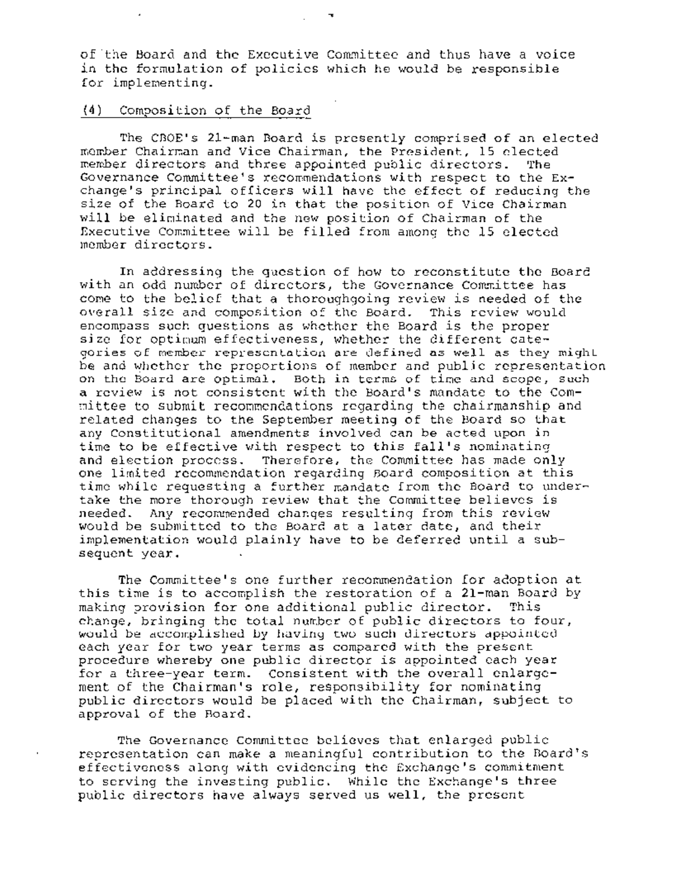of the Board and the Executive Committee and thus have a voice in the formulation of policies which he would be responsible for implementing.

# (4) Composition of the Board

The CBOE's 21-man Board is presently comprised of an elected member Chairman and Vice Chairman, the President, 15 elected member directors and three appointed public directors. The Governance Committee's recommendations with respect to the Exchange's principal officers will have the effect of reducing the size of the Board to 20 in that the position of Vice Chairman will be eliminated and the new position of Chairman of the Executive Committee will be filled from among the 15 elected member directors.

In addressing the question of how to reconstitute the Board with an odd number of directors, the Governance Committee has come to the belief that a thoroughgoing review is needed of the overall size and composition of the Board. This review would encompass such questions as whether the Board is the proper size for optimum effectiveness, whether the different categories of member representation are defined as well as they might be and whether the proportions of member and public representation on the Board are optimal. Both in terms of time and scope, such a review is not consistent with the Board's mandate to the Committee to submit recommendations regarding the chairmanship and related changes to the September meeting of the Board so that any Constitutional amendments involved can be acted upon in ~ time to be effective with respect to this fall's nominating and election process. Therefore, the Committee has made only one limited recommendation regarding Board composition at this time while requesting a further mandate from the Board to undertake the more thorough review that the Committee believes is needed. Any recommended changes resulting from this review would be submitted to the Board at a later date, and their implementation would plainly have to be deferred until a subsequent year.

The Committee's one further recommendation for adoption at this time is to accomplish the restoration of a 21-man Board by making provision for one additional public director. This change, bringing the total number of public directors to four, would be accomplished by having two such directors appointed each year for two year terms as compared with the present procedure whereby one public director is appointed each year for a three-year term. Consistent with the overall enlargement of the Chairman's role, responsibility for nominating public directors would be placed with the Chairman, subject to approval of the Board.

The Governance Committee believes that enlarged public representation can make a meaningful contribution to the Board's effectiveness along with evidencing the Exchange's commitment to serving the investing public. While the Exchange's three public directors have always served us well, the present